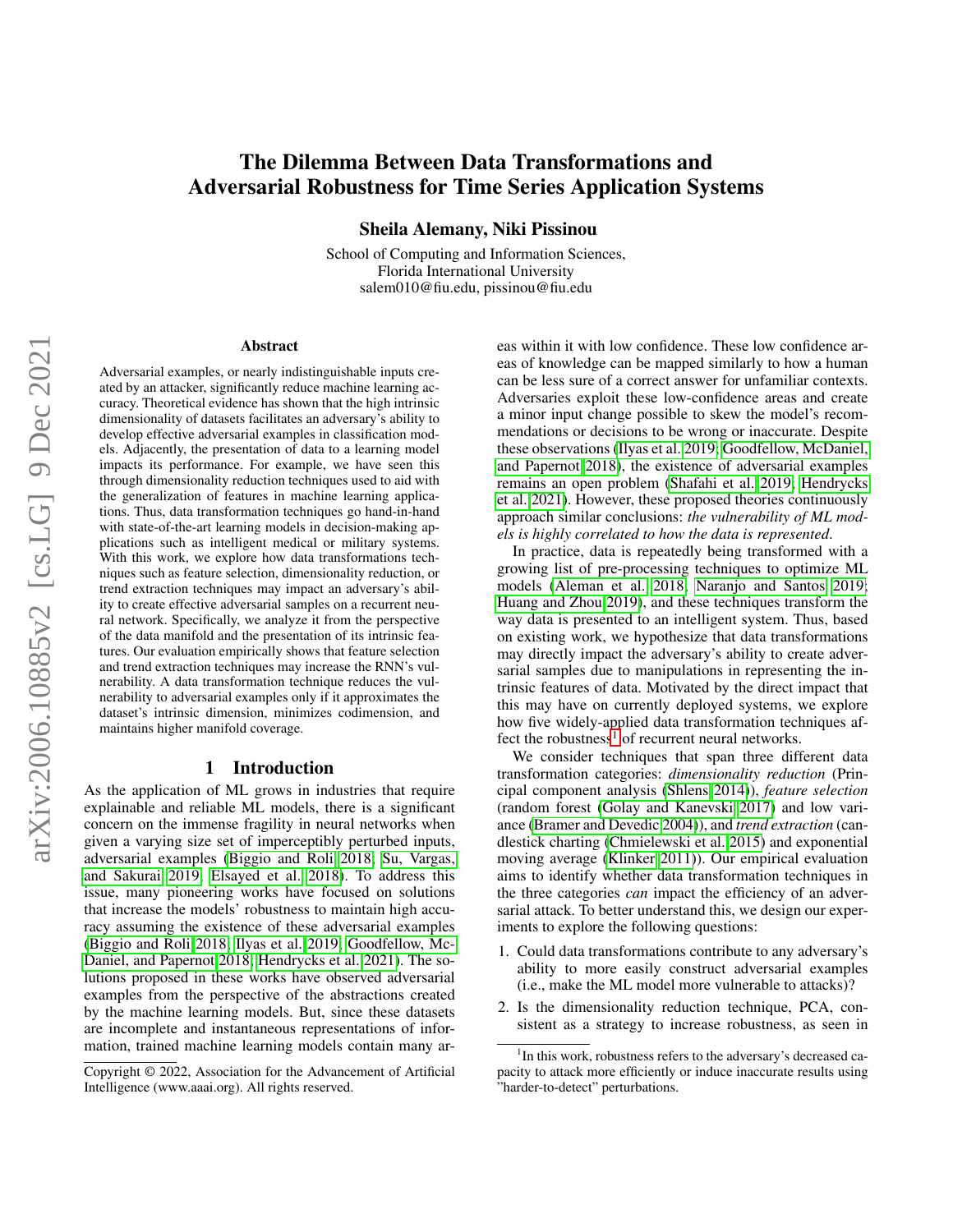# The Dilemma Between Data Transformations and Adversarial Robustness for Time Series Application Systems

Sheila Alemany, Niki Pissinou

School of Computing and Information Sciences, Florida International University salem010@fiu.edu, pissinou@fiu.edu

#### Abstract

Adversarial examples, or nearly indistinguishable inputs created by an attacker, significantly reduce machine learning accuracy. Theoretical evidence has shown that the high intrinsic dimensionality of datasets facilitates an adversary's ability to develop effective adversarial examples in classification models. Adjacently, the presentation of data to a learning model impacts its performance. For example, we have seen this through dimensionality reduction techniques used to aid with the generalization of features in machine learning applications. Thus, data transformation techniques go hand-in-hand with state-of-the-art learning models in decision-making applications such as intelligent medical or military systems. With this work, we explore how data transformations techniques such as feature selection, dimensionality reduction, or trend extraction techniques may impact an adversary's ability to create effective adversarial samples on a recurrent neural network. Specifically, we analyze it from the perspective of the data manifold and the presentation of its intrinsic features. Our evaluation empirically shows that feature selection and trend extraction techniques may increase the RNN's vulnerability. A data transformation technique reduces the vulnerability to adversarial examples only if it approximates the dataset's intrinsic dimension, minimizes codimension, and maintains higher manifold coverage.

# 1 Introduction

As the application of ML grows in industries that require explainable and reliable ML models, there is a significant concern on the immense fragility in neural networks when given a varying size set of imperceptibly perturbed inputs, adversarial examples [\(Biggio and Roli 2018;](#page-7-0) [Su, Vargas,](#page-7-1) [and Sakurai 2019;](#page-7-1) [Elsayed et al. 2018\)](#page-7-2). To address this issue, many pioneering works have focused on solutions that increase the models' robustness to maintain high accuracy assuming the existence of these adversarial examples [\(Biggio and Roli 2018;](#page-7-0) [Ilyas et al. 2019;](#page-7-3) [Goodfellow, Mc-](#page-7-4)[Daniel, and Papernot 2018;](#page-7-4) [Hendrycks et al. 2021\)](#page-7-5). The solutions proposed in these works have observed adversarial examples from the perspective of the abstractions created by the machine learning models. But, since these datasets are incomplete and instantaneous representations of information, trained machine learning models contain many areas within it with low confidence. These low confidence areas of knowledge can be mapped similarly to how a human can be less sure of a correct answer for unfamiliar contexts. Adversaries exploit these low-confidence areas and create a minor input change possible to skew the model's recommendations or decisions to be wrong or inaccurate. Despite these observations [\(Ilyas et al. 2019;](#page-7-3) [Goodfellow, McDaniel,](#page-7-4) [and Papernot 2018\)](#page-7-4), the existence of adversarial examples remains an open problem [\(Shafahi et al. 2019;](#page-7-6) [Hendrycks](#page-7-5) [et al. 2021\)](#page-7-5). However, these proposed theories continuously approach similar conclusions: *the vulnerability of ML models is highly correlated to how the data is represented*.

In practice, data is repeatedly being transformed with a growing list of pre-processing techniques to optimize ML models [\(Aleman et al. 2018;](#page-6-0) [Naranjo and Santos 2019;](#page-7-7) [Huang and Zhou 2019\)](#page-7-8), and these techniques transform the way data is presented to an intelligent system. Thus, based on existing work, we hypothesize that data transformations may directly impact the adversary's ability to create adversarial samples due to manipulations in representing the intrinsic features of data. Motivated by the direct impact that this may have on currently deployed systems, we explore how five widely-applied data transformation techniques af-fect the robustness<sup>[1](#page-0-0)</sup> of recurrent neural networks.

We consider techniques that span three different data transformation categories: *dimensionality reduction* (Principal component analysis [\(Shlens 2014\)](#page-7-9)), *feature selection* (random forest [\(Golay and Kanevski 2017\)](#page-7-10) and low variance [\(Bramer and Devedic 2004\)](#page-7-11)), and *trend extraction* (candlestick charting [\(Chmielewski et al. 2015\)](#page-7-12) and exponential moving average [\(Klinker 2011\)](#page-7-13)). Our empirical evaluation aims to identify whether data transformation techniques in the three categories *can* impact the efficiency of an adversarial attack. To better understand this, we design our experiments to explore the following questions:

- 1. Could data transformations contribute to any adversary's ability to more easily construct adversarial examples (i.e., make the ML model more vulnerable to attacks)?
- 2. Is the dimensionality reduction technique, PCA, consistent as a strategy to increase robustness, as seen in

Copyright © 2022, Association for the Advancement of Artificial Intelligence (www.aaai.org). All rights reserved.

<span id="page-0-0"></span><sup>&</sup>lt;sup>1</sup>In this work, robustness refers to the adversary's decreased capacity to attack more efficiently or induce inaccurate results using "harder-to-detect" perturbations.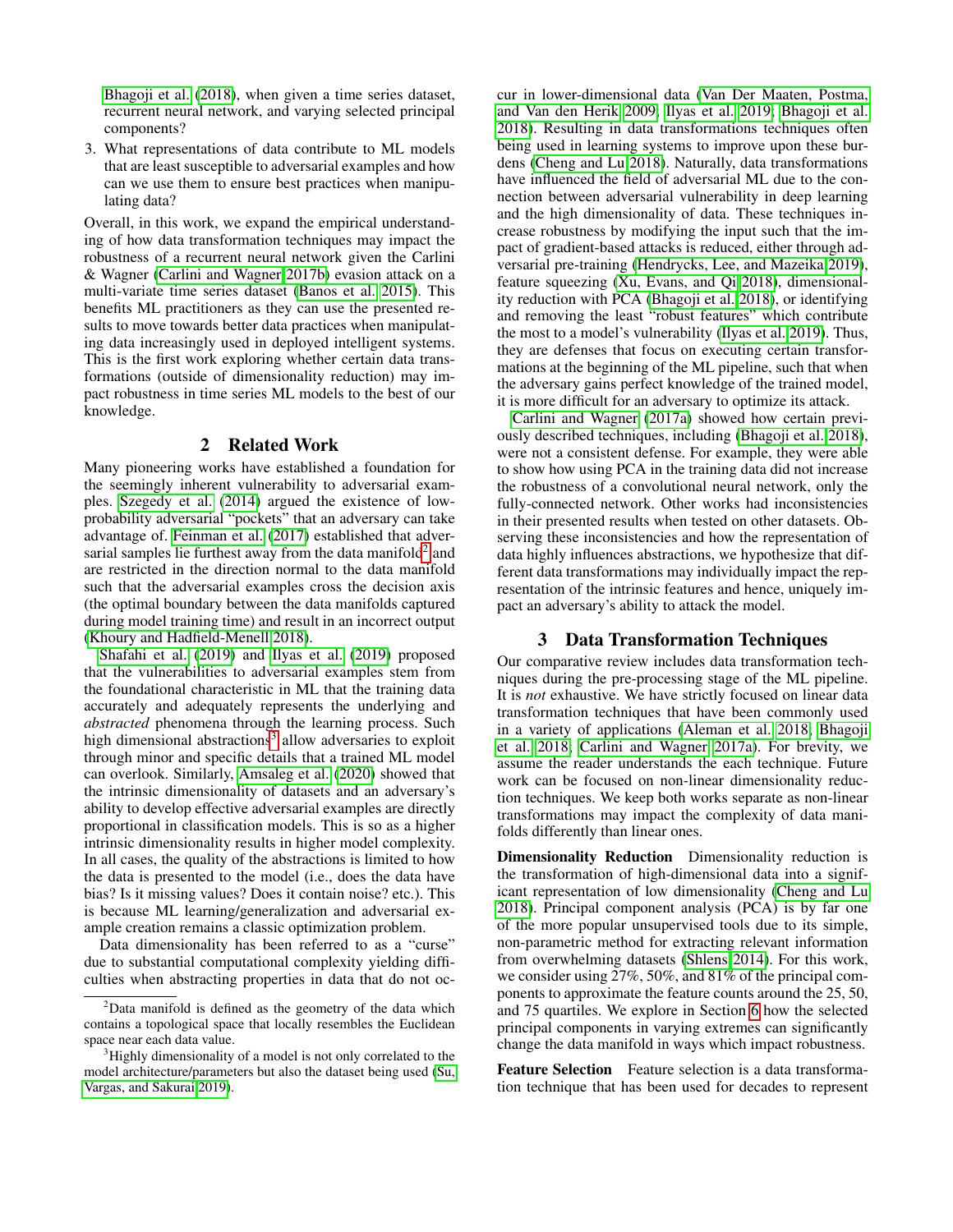[Bhagoji et al.](#page-6-1) [\(2018\)](#page-6-1), when given a time series dataset, recurrent neural network, and varying selected principal components?

3. What representations of data contribute to ML models that are least susceptible to adversarial examples and how can we use them to ensure best practices when manipulating data?

Overall, in this work, we expand the empirical understanding of how data transformation techniques may impact the robustness of a recurrent neural network given the Carlini & Wagner [\(Carlini and Wagner 2017b\)](#page-7-14) evasion attack on a multi-variate time series dataset [\(Banos et al. 2015\)](#page-6-2). This benefits ML practitioners as they can use the presented results to move towards better data practices when manipulating data increasingly used in deployed intelligent systems. This is the first work exploring whether certain data transformations (outside of dimensionality reduction) may impact robustness in time series ML models to the best of our knowledge.

# 2 Related Work

Many pioneering works have established a foundation for the seemingly inherent vulnerability to adversarial examples. [Szegedy et al.](#page-7-15) [\(2014\)](#page-7-15) argued the existence of lowprobability adversarial "pockets" that an adversary can take advantage of. [Feinman et al.](#page-7-16) [\(2017\)](#page-7-16) established that adver-sarial samples lie furthest away from the data manifold<sup>[2](#page-1-0)</sup> and are restricted in the direction normal to the data manifold such that the adversarial examples cross the decision axis (the optimal boundary between the data manifolds captured during model training time) and result in an incorrect output [\(Khoury and Hadfield-Menell 2018\)](#page-7-17).

[Shafahi et al.](#page-7-6) [\(2019\)](#page-7-6) and [Ilyas et al.](#page-7-3) [\(2019\)](#page-7-3) proposed that the vulnerabilities to adversarial examples stem from the foundational characteristic in ML that the training data accurately and adequately represents the underlying and *abstracted* phenomena through the learning process. Such high dimensional abstractions<sup>[3](#page-1-1)</sup> allow adversaries to exploit through minor and specific details that a trained ML model can overlook. Similarly, [Amsaleg et al.](#page-6-3) [\(2020\)](#page-6-3) showed that the intrinsic dimensionality of datasets and an adversary's ability to develop effective adversarial examples are directly proportional in classification models. This is so as a higher intrinsic dimensionality results in higher model complexity. In all cases, the quality of the abstractions is limited to how the data is presented to the model (i.e., does the data have bias? Is it missing values? Does it contain noise? etc.). This is because ML learning/generalization and adversarial example creation remains a classic optimization problem.

Data dimensionality has been referred to as a "curse" due to substantial computational complexity yielding difficulties when abstracting properties in data that do not occur in lower-dimensional data [\(Van Der Maaten, Postma,](#page-7-18) [and Van den Herik 2009;](#page-7-18) [Ilyas et al. 2019;](#page-7-3) [Bhagoji et al.](#page-6-1) [2018\)](#page-6-1). Resulting in data transformations techniques often being used in learning systems to improve upon these burdens [\(Cheng and Lu 2018\)](#page-7-19). Naturally, data transformations have influenced the field of adversarial ML due to the connection between adversarial vulnerability in deep learning and the high dimensionality of data. These techniques increase robustness by modifying the input such that the impact of gradient-based attacks is reduced, either through adversarial pre-training [\(Hendrycks, Lee, and Mazeika 2019\)](#page-7-20), feature squeezing [\(Xu, Evans, and Qi 2018\)](#page-7-21), dimensionality reduction with PCA [\(Bhagoji et al. 2018\)](#page-6-1), or identifying and removing the least "robust features" which contribute the most to a model's vulnerability [\(Ilyas et al. 2019\)](#page-7-3). Thus, they are defenses that focus on executing certain transformations at the beginning of the ML pipeline, such that when the adversary gains perfect knowledge of the trained model, it is more difficult for an adversary to optimize its attack.

[Carlini and Wagner](#page-7-22) [\(2017a\)](#page-7-22) showed how certain previously described techniques, including [\(Bhagoji et al. 2018\)](#page-6-1), were not a consistent defense. For example, they were able to show how using PCA in the training data did not increase the robustness of a convolutional neural network, only the fully-connected network. Other works had inconsistencies in their presented results when tested on other datasets. Observing these inconsistencies and how the representation of data highly influences abstractions, we hypothesize that different data transformations may individually impact the representation of the intrinsic features and hence, uniquely impact an adversary's ability to attack the model.

## 3 Data Transformation Techniques

Our comparative review includes data transformation techniques during the pre-processing stage of the ML pipeline. It is *not* exhaustive. We have strictly focused on linear data transformation techniques that have been commonly used in a variety of applications [\(Aleman et al. 2018;](#page-6-0) [Bhagoji](#page-6-1) [et al. 2018;](#page-6-1) [Carlini and Wagner 2017a\)](#page-7-22). For brevity, we assume the reader understands the each technique. Future work can be focused on non-linear dimensionality reduction techniques. We keep both works separate as non-linear transformations may impact the complexity of data manifolds differently than linear ones.

Dimensionality Reduction Dimensionality reduction is the transformation of high-dimensional data into a significant representation of low dimensionality [\(Cheng and Lu](#page-7-19) [2018\)](#page-7-19). Principal component analysis (PCA) is by far one of the more popular unsupervised tools due to its simple, non-parametric method for extracting relevant information from overwhelming datasets [\(Shlens 2014\)](#page-7-9). For this work, we consider using 27%, 50%, and 81% of the principal components to approximate the feature counts around the 25, 50, and 75 quartiles. We explore in Section [6](#page-3-0) how the selected principal components in varying extremes can significantly change the data manifold in ways which impact robustness.

Feature Selection Feature selection is a data transformation technique that has been used for decades to represent

<span id="page-1-0"></span> $2$ Data manifold is defined as the geometry of the data which contains a topological space that locally resembles the Euclidean space near each data value.

<span id="page-1-1"></span> $3$ Highly dimensionality of a model is not only correlated to the model architecture/parameters but also the dataset being used [\(Su,](#page-7-1) [Vargas, and Sakurai 2019\)](#page-7-1).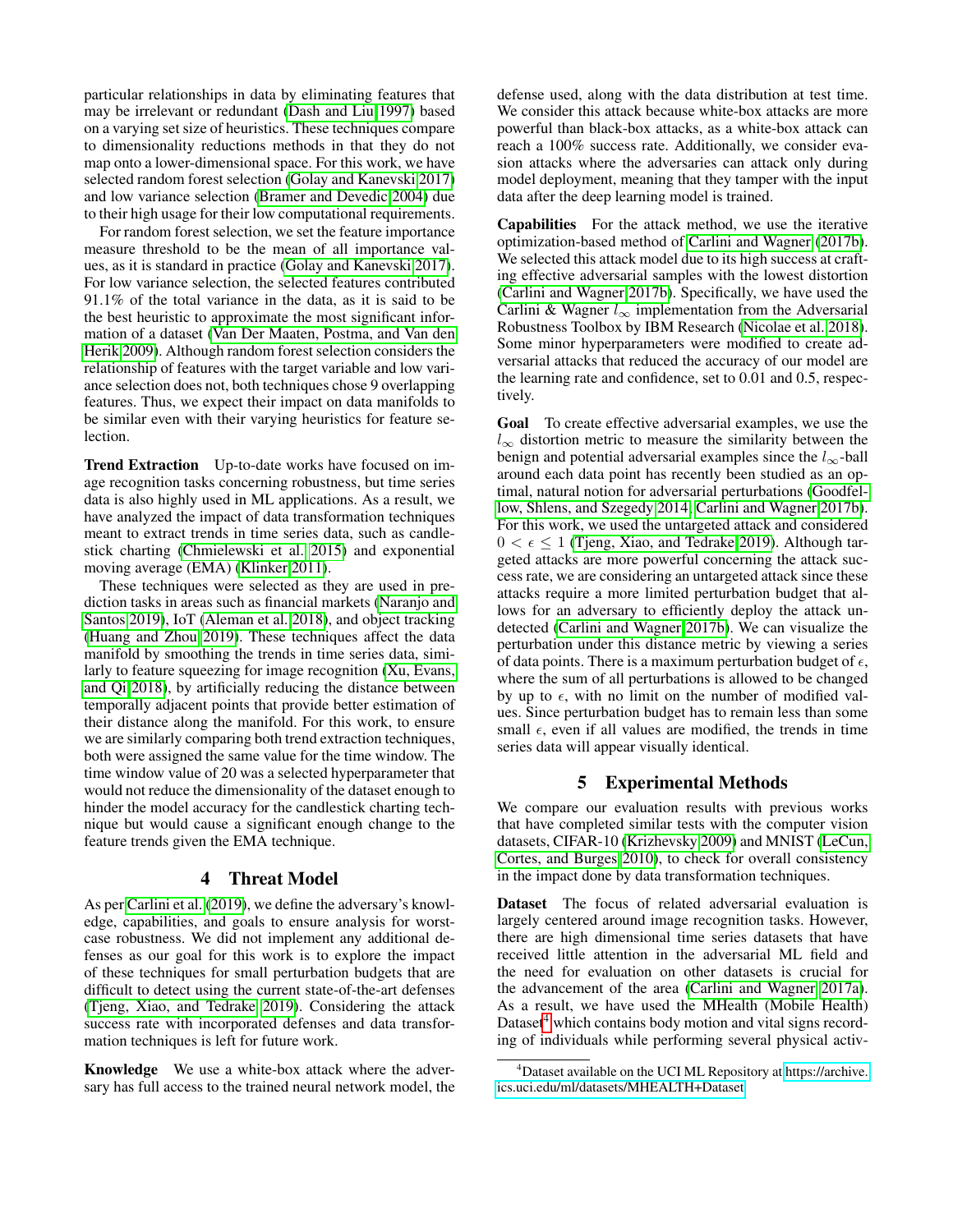particular relationships in data by eliminating features that may be irrelevant or redundant [\(Dash and Liu 1997\)](#page-7-23) based on a varying set size of heuristics. These techniques compare to dimensionality reductions methods in that they do not map onto a lower-dimensional space. For this work, we have selected random forest selection [\(Golay and Kanevski 2017\)](#page-7-10) and low variance selection [\(Bramer and Devedic 2004\)](#page-7-11) due to their high usage for their low computational requirements.

For random forest selection, we set the feature importance measure threshold to be the mean of all importance values, as it is standard in practice [\(Golay and Kanevski 2017\)](#page-7-10). For low variance selection, the selected features contributed 91.1% of the total variance in the data, as it is said to be the best heuristic to approximate the most significant information of a dataset [\(Van Der Maaten, Postma, and Van den](#page-7-18) [Herik 2009\)](#page-7-18). Although random forest selection considers the relationship of features with the target variable and low variance selection does not, both techniques chose 9 overlapping features. Thus, we expect their impact on data manifolds to be similar even with their varying heuristics for feature selection.

Trend Extraction Up-to-date works have focused on image recognition tasks concerning robustness, but time series data is also highly used in ML applications. As a result, we have analyzed the impact of data transformation techniques meant to extract trends in time series data, such as candlestick charting [\(Chmielewski et al. 2015\)](#page-7-12) and exponential moving average (EMA) [\(Klinker 2011\)](#page-7-13).

These techniques were selected as they are used in prediction tasks in areas such as financial markets [\(Naranjo and](#page-7-7) [Santos 2019\)](#page-7-7), IoT [\(Aleman et al. 2018\)](#page-6-0), and object tracking [\(Huang and Zhou 2019\)](#page-7-8). These techniques affect the data manifold by smoothing the trends in time series data, similarly to feature squeezing for image recognition [\(Xu, Evans,](#page-7-21) [and Qi 2018\)](#page-7-21), by artificially reducing the distance between temporally adjacent points that provide better estimation of their distance along the manifold. For this work, to ensure we are similarly comparing both trend extraction techniques, both were assigned the same value for the time window. The time window value of 20 was a selected hyperparameter that would not reduce the dimensionality of the dataset enough to hinder the model accuracy for the candlestick charting technique but would cause a significant enough change to the feature trends given the EMA technique.

## 4 Threat Model

As per [Carlini et al.](#page-7-24) [\(2019\)](#page-7-24), we define the adversary's knowledge, capabilities, and goals to ensure analysis for worstcase robustness. We did not implement any additional defenses as our goal for this work is to explore the impact of these techniques for small perturbation budgets that are difficult to detect using the current state-of-the-art defenses [\(Tjeng, Xiao, and Tedrake 2019\)](#page-7-25). Considering the attack success rate with incorporated defenses and data transformation techniques is left for future work.

Knowledge We use a white-box attack where the adversary has full access to the trained neural network model, the

defense used, along with the data distribution at test time. We consider this attack because white-box attacks are more powerful than black-box attacks, as a white-box attack can reach a 100% success rate. Additionally, we consider evasion attacks where the adversaries can attack only during model deployment, meaning that they tamper with the input data after the deep learning model is trained.

Capabilities For the attack method, we use the iterative optimization-based method of [Carlini and Wagner](#page-7-14) [\(2017b\)](#page-7-14). We selected this attack model due to its high success at crafting effective adversarial samples with the lowest distortion [\(Carlini and Wagner 2017b\)](#page-7-14). Specifically, we have used the Carlini & Wagner  $l_{\infty}$  implementation from the Adversarial Robustness Toolbox by IBM Research [\(Nicolae et al. 2018\)](#page-7-26). Some minor hyperparameters were modified to create adversarial attacks that reduced the accuracy of our model are the learning rate and confidence, set to 0.01 and 0.5, respectively.

Goal To create effective adversarial examples, we use the  $l_{\infty}$  distortion metric to measure the similarity between the benign and potential adversarial examples since the  $l_{\infty}$ -ball around each data point has recently been studied as an optimal, natural notion for adversarial perturbations [\(Goodfel](#page-7-27)[low, Shlens, and Szegedy 2014;](#page-7-27) [Carlini and Wagner 2017b\)](#page-7-14). For this work, we used the untargeted attack and considered  $0 < \epsilon \leq 1$  [\(Tjeng, Xiao, and Tedrake 2019\)](#page-7-25). Although targeted attacks are more powerful concerning the attack success rate, we are considering an untargeted attack since these attacks require a more limited perturbation budget that allows for an adversary to efficiently deploy the attack undetected [\(Carlini and Wagner 2017b\)](#page-7-14). We can visualize the perturbation under this distance metric by viewing a series of data points. There is a maximum perturbation budget of  $\epsilon$ , where the sum of all perturbations is allowed to be changed by up to  $\epsilon$ , with no limit on the number of modified values. Since perturbation budget has to remain less than some small  $\epsilon$ , even if all values are modified, the trends in time series data will appear visually identical.

## 5 Experimental Methods

We compare our evaluation results with previous works that have completed similar tests with the computer vision datasets, CIFAR-10 [\(Krizhevsky 2009\)](#page-7-28) and MNIST [\(LeCun,](#page-7-29) [Cortes, and Burges 2010\)](#page-7-29), to check for overall consistency in the impact done by data transformation techniques.

Dataset The focus of related adversarial evaluation is largely centered around image recognition tasks. However, there are high dimensional time series datasets that have received little attention in the adversarial ML field and the need for evaluation on other datasets is crucial for the advancement of the area [\(Carlini and Wagner 2017a\)](#page-7-22). As a result, we have used the MHealth (Mobile Health) Dataset $4$  which contains body motion and vital signs recording of individuals while performing several physical activ-

<span id="page-2-0"></span><sup>4</sup>Dataset available on the UCI ML Repository at [https://archive.](https://archive.ics.uci.edu/ml/datasets/MHEALTH+Dataset) [ics.uci.edu/ml/datasets/MHEALTH+Dataset](https://archive.ics.uci.edu/ml/datasets/MHEALTH+Dataset)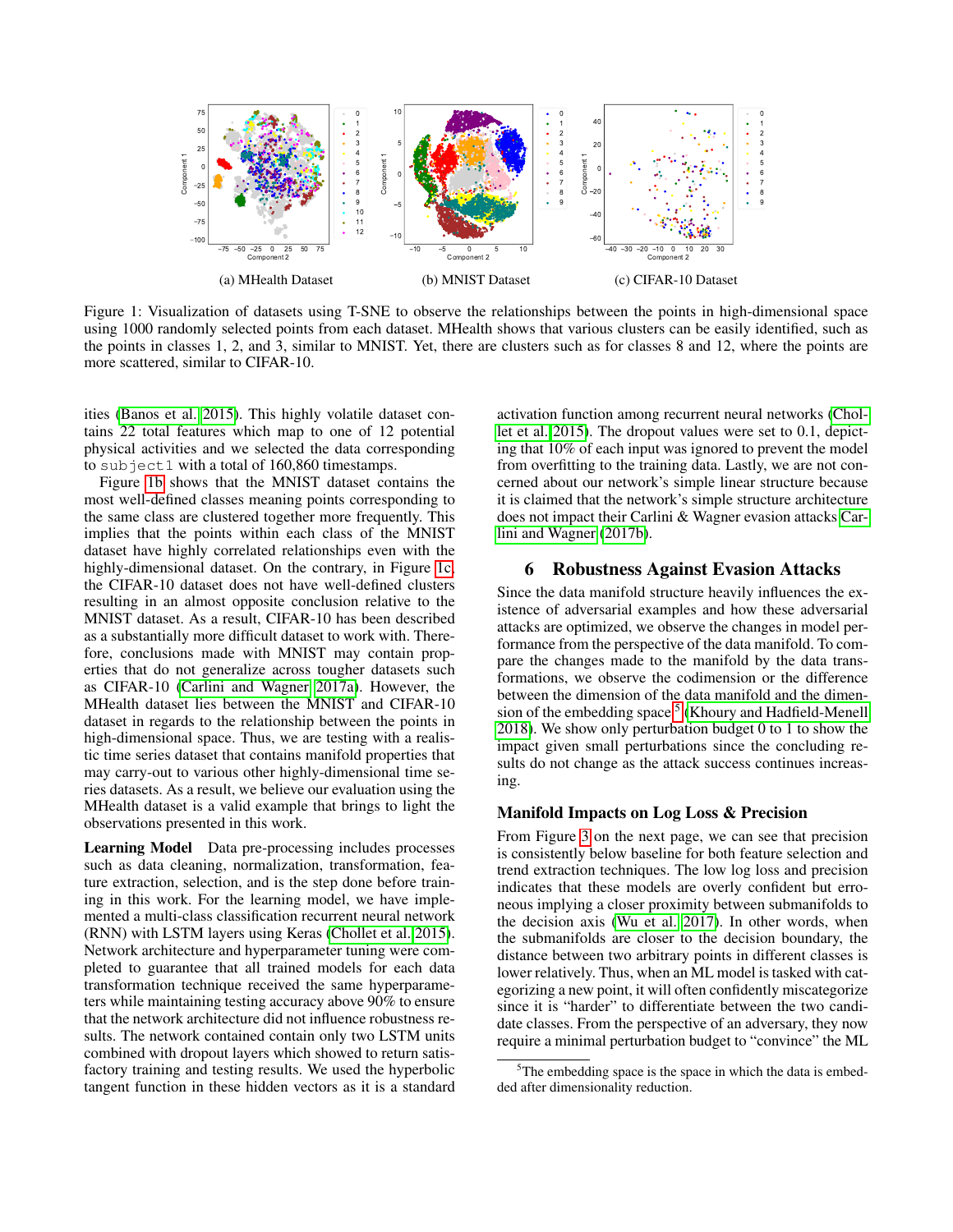

Figure 1: Visualization of datasets using T-SNE to observe the relationships between the points in high-dimensional space using 1000 randomly selected points from each dataset. MHealth shows that various clusters can be easily identified, such as the points in classes 1, 2, and 3, similar to MNIST. Yet, there are clusters such as for classes 8 and 12, where the points are more scattered, similar to CIFAR-10.

ities [\(Banos et al. 2015\)](#page-6-2). This highly volatile dataset contains 22 total features which map to one of 12 potential physical activities and we selected the data corresponding to subject1 with a total of 160,860 timestamps.

Figure [1b](#page-3-1) shows that the MNIST dataset contains the most well-defined classes meaning points corresponding to the same class are clustered together more frequently. This implies that the points within each class of the MNIST dataset have highly correlated relationships even with the highly-dimensional dataset. On the contrary, in Figure [1c,](#page-3-2) the CIFAR-10 dataset does not have well-defined clusters resulting in an almost opposite conclusion relative to the MNIST dataset. As a result, CIFAR-10 has been described as a substantially more difficult dataset to work with. Therefore, conclusions made with MNIST may contain properties that do not generalize across tougher datasets such as CIFAR-10 [\(Carlini and Wagner 2017a\)](#page-7-22). However, the MHealth dataset lies between the MNIST and CIFAR-10 dataset in regards to the relationship between the points in high-dimensional space. Thus, we are testing with a realistic time series dataset that contains manifold properties that may carry-out to various other highly-dimensional time series datasets. As a result, we believe our evaluation using the MHealth dataset is a valid example that brings to light the observations presented in this work.

Learning Model Data pre-processing includes processes such as data cleaning, normalization, transformation, feature extraction, selection, and is the step done before training in this work. For the learning model, we have implemented a multi-class classification recurrent neural network (RNN) with LSTM layers using Keras [\(Chollet et al. 2015\)](#page-7-30). Network architecture and hyperparameter tuning were completed to guarantee that all trained models for each data transformation technique received the same hyperparameters while maintaining testing accuracy above 90% to ensure that the network architecture did not influence robustness results. The network contained contain only two LSTM units combined with dropout layers which showed to return satisfactory training and testing results. We used the hyperbolic tangent function in these hidden vectors as it is a standard

<span id="page-3-2"></span><span id="page-3-1"></span>activation function among recurrent neural networks [\(Chol](#page-7-30)[let et al. 2015\)](#page-7-30). The dropout values were set to 0.1, depicting that 10% of each input was ignored to prevent the model from overfitting to the training data. Lastly, we are not concerned about our network's simple linear structure because it is claimed that the network's simple structure architecture does not impact their Carlini & Wagner evasion attacks [Car](#page-7-14)[lini and Wagner](#page-7-14) [\(2017b\)](#page-7-14).

## <span id="page-3-0"></span>6 Robustness Against Evasion Attacks

Since the data manifold structure heavily influences the existence of adversarial examples and how these adversarial attacks are optimized, we observe the changes in model performance from the perspective of the data manifold. To compare the changes made to the manifold by the data transformations, we observe the codimension or the difference between the dimension of the data manifold and the dimen-sion of the embedding space<sup>[5](#page-3-3)</sup> [\(Khoury and Hadfield-Menell](#page-7-17) [2018\)](#page-7-17). We show only perturbation budget 0 to 1 to show the impact given small perturbations since the concluding results do not change as the attack success continues increasing.

## Manifold Impacts on Log Loss & Precision

From Figure [3](#page-4-0) on the next page, we can see that precision is consistently below baseline for both feature selection and trend extraction techniques. The low log loss and precision indicates that these models are overly confident but erroneous implying a closer proximity between submanifolds to the decision axis [\(Wu et al. 2017\)](#page-7-31). In other words, when the submanifolds are closer to the decision boundary, the distance between two arbitrary points in different classes is lower relatively. Thus, when an ML model is tasked with categorizing a new point, it will often confidently miscategorize since it is "harder" to differentiate between the two candidate classes. From the perspective of an adversary, they now require a minimal perturbation budget to "convince" the ML

<span id="page-3-3"></span> $5$ The embedding space is the space in which the data is embedded after dimensionality reduction.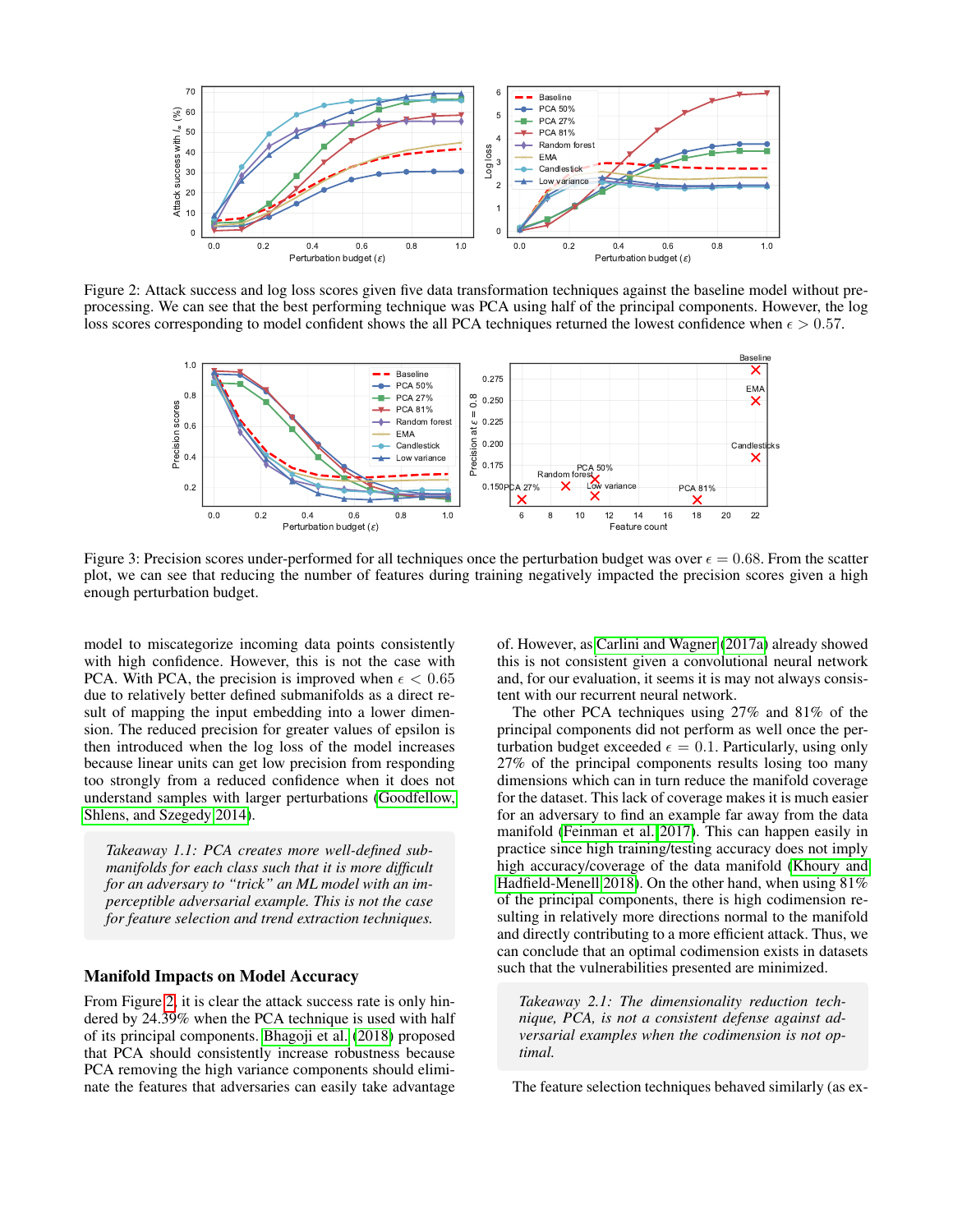<span id="page-4-1"></span>

<span id="page-4-0"></span>Figure 2: Attack success and log loss scores given five data transformation techniques against the baseline model without preprocessing. We can see that the best performing technique was PCA using half of the principal components. However, the log loss scores corresponding to model confident shows the all PCA techniques returned the lowest confidence when  $\epsilon > 0.57$ .



Figure 3: Precision scores under-performed for all techniques once the perturbation budget was over  $\epsilon = 0.68$ . From the scatter plot, we can see that reducing the number of features during training negatively impacted the precision scores given a high enough perturbation budget.

model to miscategorize incoming data points consistently with high confidence. However, this is not the case with PCA. With PCA, the precision is improved when  $\epsilon < 0.65$ due to relatively better defined submanifolds as a direct result of mapping the input embedding into a lower dimension. The reduced precision for greater values of epsilon is then introduced when the log loss of the model increases because linear units can get low precision from responding too strongly from a reduced confidence when it does not understand samples with larger perturbations [\(Goodfellow,](#page-7-27) [Shlens, and Szegedy 2014\)](#page-7-27).

*Takeaway 1.1: PCA creates more well-defined submanifolds for each class such that it is more difficult for an adversary to "trick" an ML model with an imperceptible adversarial example. This is not the case for feature selection and trend extraction techniques.*

### Manifold Impacts on Model Accuracy

From Figure [2,](#page-4-1) it is clear the attack success rate is only hindered by 24.39% when the PCA technique is used with half of its principal components. [Bhagoji et al.](#page-6-1) [\(2018\)](#page-6-1) proposed that PCA should consistently increase robustness because PCA removing the high variance components should eliminate the features that adversaries can easily take advantage

of. However, as [Carlini and Wagner](#page-7-22) [\(2017a\)](#page-7-22) already showed this is not consistent given a convolutional neural network and, for our evaluation, it seems it is may not always consistent with our recurrent neural network.

The other PCA techniques using 27% and 81% of the principal components did not perform as well once the perturbation budget exceeded  $\epsilon = 0.1$ . Particularly, using only 27% of the principal components results losing too many dimensions which can in turn reduce the manifold coverage for the dataset. This lack of coverage makes it is much easier for an adversary to find an example far away from the data manifold [\(Feinman et al. 2017\)](#page-7-16). This can happen easily in practice since high training/testing accuracy does not imply high accuracy/coverage of the data manifold [\(Khoury and](#page-7-17) [Hadfield-Menell 2018\)](#page-7-17). On the other hand, when using 81% of the principal components, there is high codimension resulting in relatively more directions normal to the manifold and directly contributing to a more efficient attack. Thus, we can conclude that an optimal codimension exists in datasets such that the vulnerabilities presented are minimized.

*Takeaway 2.1: The dimensionality reduction technique, PCA, is not a consistent defense against adversarial examples when the codimension is not optimal.*

The feature selection techniques behaved similarly (as ex-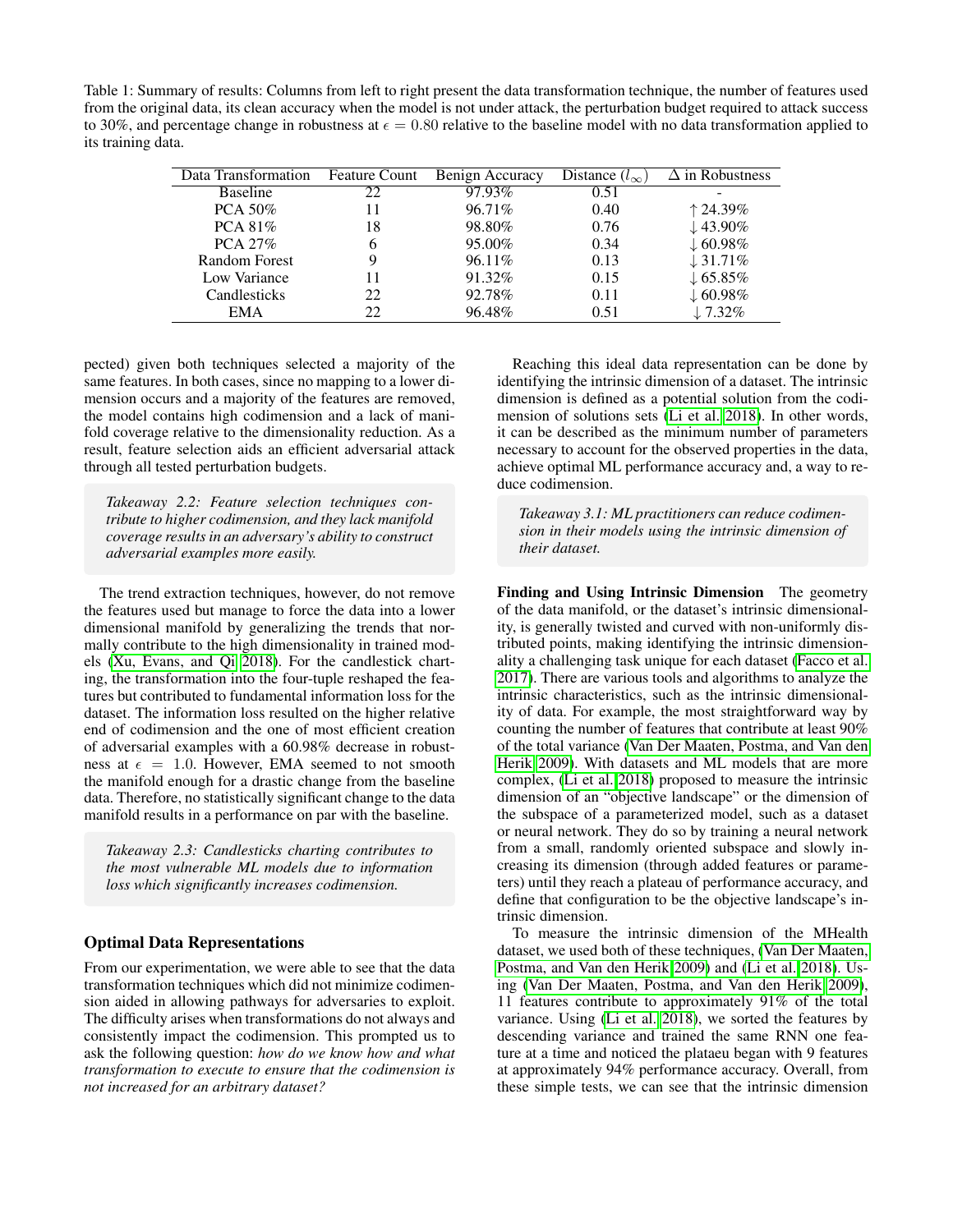Table 1: Summary of results: Columns from left to right present the data transformation technique, the number of features used from the original data, its clean accuracy when the model is not under attack, the perturbation budget required to attack success to 30%, and percentage change in robustness at  $\epsilon = 0.80$  relative to the baseline model with no data transformation applied to its training data.

| Data Transformation  | <b>Feature Count</b> | Benign Accuracy | Distance $(l_{\infty})$ | $\Delta$ in Robustness |
|----------------------|----------------------|-----------------|-------------------------|------------------------|
| <b>Baseline</b>      | 22                   | 97.93%          | 0.51                    |                        |
| $PCA 50\%$           | 11                   | 96.71%          | 0.40                    | $\uparrow$ 24.39%      |
| PCA $81\%$           | 18                   | 98.80%          | 0.76                    | $\downarrow$ 43.90%    |
| PCA 27%              | 6                    | 95.00%          | 0.34                    | $\downarrow$ 60.98%    |
| <b>Random Forest</b> | 9                    | 96.11%          | 0.13                    | $\downarrow$ 31.71%    |
| Low Variance         |                      | 91.32%          | 0.15                    | $\downarrow$ 65.85%    |
| Candlesticks         | 22                   | 92.78%          | 0.11                    | $\downarrow$ 60.98%    |
| EMA                  | フフ                   | 96.48%          | 0.51                    | $\downarrow$ 7.32%     |

pected) given both techniques selected a majority of the same features. In both cases, since no mapping to a lower dimension occurs and a majority of the features are removed, the model contains high codimension and a lack of manifold coverage relative to the dimensionality reduction. As a result, feature selection aids an efficient adversarial attack through all tested perturbation budgets.

*Takeaway 2.2: Feature selection techniques contribute to higher codimension, and they lack manifold coverage results in an adversary's ability to construct adversarial examples more easily.*

The trend extraction techniques, however, do not remove the features used but manage to force the data into a lower dimensional manifold by generalizing the trends that normally contribute to the high dimensionality in trained models [\(Xu, Evans, and Qi 2018\)](#page-7-21). For the candlestick charting, the transformation into the four-tuple reshaped the features but contributed to fundamental information loss for the dataset. The information loss resulted on the higher relative end of codimension and the one of most efficient creation of adversarial examples with a 60.98% decrease in robustness at  $\epsilon = 1.0$ . However, EMA seemed to not smooth the manifold enough for a drastic change from the baseline data. Therefore, no statistically significant change to the data manifold results in a performance on par with the baseline.

*Takeaway 2.3: Candlesticks charting contributes to the most vulnerable ML models due to information loss which significantly increases codimension.*

## Optimal Data Representations

From our experimentation, we were able to see that the data transformation techniques which did not minimize codimension aided in allowing pathways for adversaries to exploit. The difficulty arises when transformations do not always and consistently impact the codimension. This prompted us to ask the following question: *how do we know how and what transformation to execute to ensure that the codimension is not increased for an arbitrary dataset?*

Reaching this ideal data representation can be done by identifying the intrinsic dimension of a dataset. The intrinsic dimension is defined as a potential solution from the codimension of solutions sets [\(Li et al. 2018\)](#page-7-32). In other words, it can be described as the minimum number of parameters necessary to account for the observed properties in the data, achieve optimal ML performance accuracy and, a way to reduce codimension.

*Takeaway 3.1: ML practitioners can reduce codimension in their models using the intrinsic dimension of their dataset.*

Finding and Using Intrinsic Dimension The geometry of the data manifold, or the dataset's intrinsic dimensionality, is generally twisted and curved with non-uniformly distributed points, making identifying the intrinsic dimensionality a challenging task unique for each dataset [\(Facco et al.](#page-7-33) [2017\)](#page-7-33). There are various tools and algorithms to analyze the intrinsic characteristics, such as the intrinsic dimensionality of data. For example, the most straightforward way by counting the number of features that contribute at least 90% of the total variance [\(Van Der Maaten, Postma, and Van den](#page-7-18) [Herik 2009\)](#page-7-18). With datasets and ML models that are more complex, [\(Li et al. 2018\)](#page-7-32) proposed to measure the intrinsic dimension of an "objective landscape" or the dimension of the subspace of a parameterized model, such as a dataset or neural network. They do so by training a neural network from a small, randomly oriented subspace and slowly increasing its dimension (through added features or parameters) until they reach a plateau of performance accuracy, and define that configuration to be the objective landscape's intrinsic dimension.

To measure the intrinsic dimension of the MHealth dataset, we used both of these techniques, [\(Van Der Maaten,](#page-7-18) [Postma, and Van den Herik 2009\)](#page-7-18) and [\(Li et al. 2018\)](#page-7-32). Using [\(Van Der Maaten, Postma, and Van den Herik 2009\)](#page-7-18), 11 features contribute to approximately 91% of the total variance. Using [\(Li et al. 2018\)](#page-7-32), we sorted the features by descending variance and trained the same RNN one feature at a time and noticed the plataeu began with 9 features at approximately 94% performance accuracy. Overall, from these simple tests, we can see that the intrinsic dimension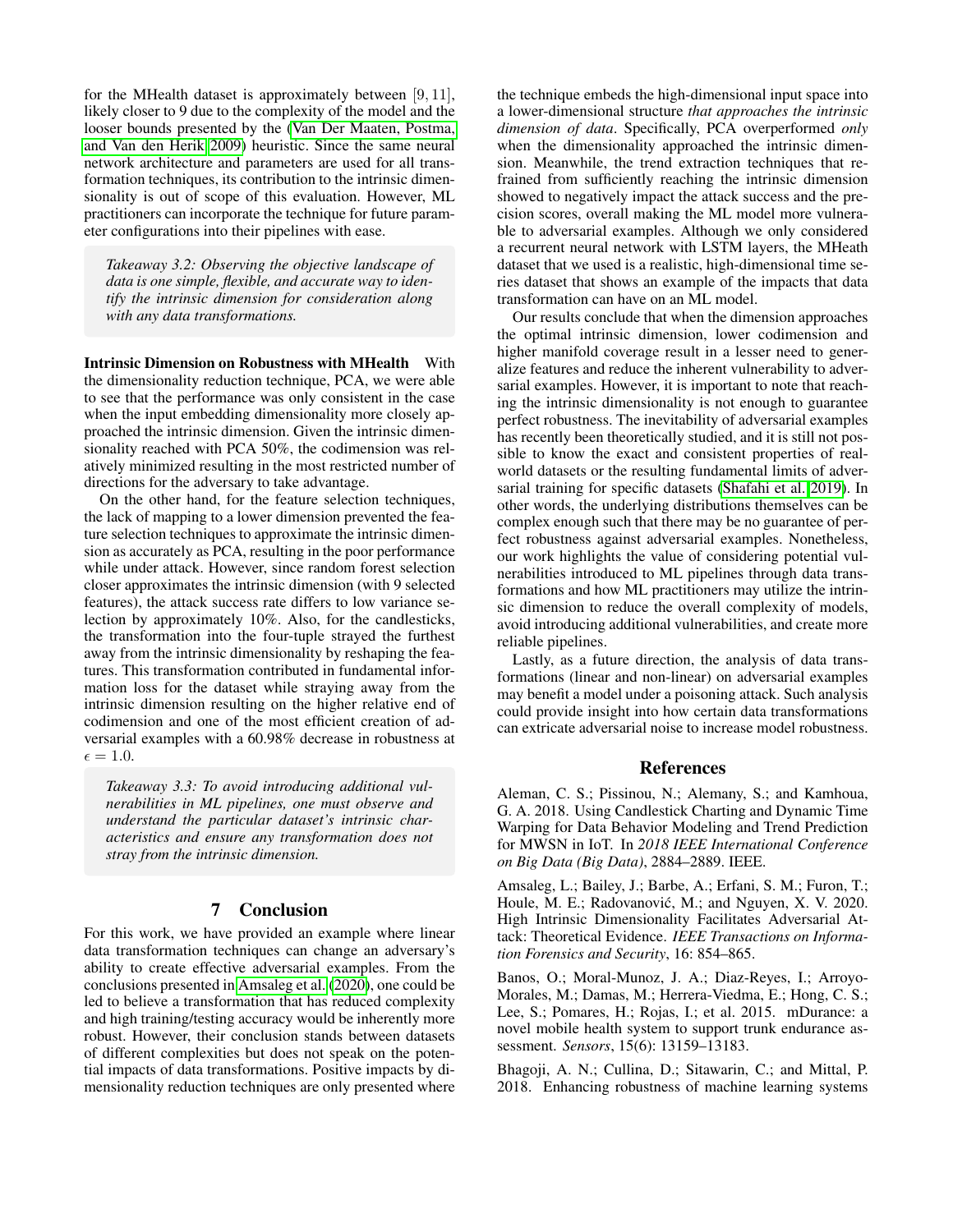for the MHealth dataset is approximately between [9, 11], likely closer to 9 due to the complexity of the model and the looser bounds presented by the [\(Van Der Maaten, Postma,](#page-7-18) [and Van den Herik 2009\)](#page-7-18) heuristic. Since the same neural network architecture and parameters are used for all transformation techniques, its contribution to the intrinsic dimensionality is out of scope of this evaluation. However, ML practitioners can incorporate the technique for future parameter configurations into their pipelines with ease.

*Takeaway 3.2: Observing the objective landscape of data is one simple, flexible, and accurate way to identify the intrinsic dimension for consideration along with any data transformations.*

Intrinsic Dimension on Robustness with MHealth With the dimensionality reduction technique, PCA, we were able to see that the performance was only consistent in the case when the input embedding dimensionality more closely approached the intrinsic dimension. Given the intrinsic dimensionality reached with PCA 50%, the codimension was relatively minimized resulting in the most restricted number of directions for the adversary to take advantage.

On the other hand, for the feature selection techniques, the lack of mapping to a lower dimension prevented the feature selection techniques to approximate the intrinsic dimension as accurately as PCA, resulting in the poor performance while under attack. However, since random forest selection closer approximates the intrinsic dimension (with 9 selected features), the attack success rate differs to low variance selection by approximately 10%. Also, for the candlesticks, the transformation into the four-tuple strayed the furthest away from the intrinsic dimensionality by reshaping the features. This transformation contributed in fundamental information loss for the dataset while straying away from the intrinsic dimension resulting on the higher relative end of codimension and one of the most efficient creation of adversarial examples with a 60.98% decrease in robustness at  $\epsilon = 1.0.$ 

*Takeaway 3.3: To avoid introducing additional vulnerabilities in ML pipelines, one must observe and understand the particular dataset's intrinsic characteristics and ensure any transformation does not stray from the intrinsic dimension.*

## 7 Conclusion

For this work, we have provided an example where linear data transformation techniques can change an adversary's ability to create effective adversarial examples. From the conclusions presented in [Amsaleg et al.](#page-6-3) [\(2020\)](#page-6-3), one could be led to believe a transformation that has reduced complexity and high training/testing accuracy would be inherently more robust. However, their conclusion stands between datasets of different complexities but does not speak on the potential impacts of data transformations. Positive impacts by dimensionality reduction techniques are only presented where

the technique embeds the high-dimensional input space into a lower-dimensional structure *that approaches the intrinsic dimension of data*. Specifically, PCA overperformed *only* when the dimensionality approached the intrinsic dimension. Meanwhile, the trend extraction techniques that refrained from sufficiently reaching the intrinsic dimension showed to negatively impact the attack success and the precision scores, overall making the ML model more vulnerable to adversarial examples. Although we only considered a recurrent neural network with LSTM layers, the MHeath dataset that we used is a realistic, high-dimensional time series dataset that shows an example of the impacts that data transformation can have on an ML model.

Our results conclude that when the dimension approaches the optimal intrinsic dimension, lower codimension and higher manifold coverage result in a lesser need to generalize features and reduce the inherent vulnerability to adversarial examples. However, it is important to note that reaching the intrinsic dimensionality is not enough to guarantee perfect robustness. The inevitability of adversarial examples has recently been theoretically studied, and it is still not possible to know the exact and consistent properties of realworld datasets or the resulting fundamental limits of adversarial training for specific datasets [\(Shafahi et al. 2019\)](#page-7-6). In other words, the underlying distributions themselves can be complex enough such that there may be no guarantee of perfect robustness against adversarial examples. Nonetheless, our work highlights the value of considering potential vulnerabilities introduced to ML pipelines through data transformations and how ML practitioners may utilize the intrinsic dimension to reduce the overall complexity of models, avoid introducing additional vulnerabilities, and create more reliable pipelines.

Lastly, as a future direction, the analysis of data transformations (linear and non-linear) on adversarial examples may benefit a model under a poisoning attack. Such analysis could provide insight into how certain data transformations can extricate adversarial noise to increase model robustness.

### References

<span id="page-6-0"></span>Aleman, C. S.; Pissinou, N.; Alemany, S.; and Kamhoua, G. A. 2018. Using Candlestick Charting and Dynamic Time Warping for Data Behavior Modeling and Trend Prediction for MWSN in IoT. In *2018 IEEE International Conference on Big Data (Big Data)*, 2884–2889. IEEE.

<span id="page-6-3"></span>Amsaleg, L.; Bailey, J.; Barbe, A.; Erfani, S. M.; Furon, T.; Houle, M. E.; Radovanović, M.; and Nguyen, X. V. 2020. High Intrinsic Dimensionality Facilitates Adversarial Attack: Theoretical Evidence. *IEEE Transactions on Information Forensics and Security*, 16: 854–865.

<span id="page-6-2"></span>Banos, O.; Moral-Munoz, J. A.; Diaz-Reyes, I.; Arroyo-Morales, M.; Damas, M.; Herrera-Viedma, E.; Hong, C. S.; Lee, S.; Pomares, H.; Rojas, I.; et al. 2015. mDurance: a novel mobile health system to support trunk endurance assessment. *Sensors*, 15(6): 13159–13183.

<span id="page-6-1"></span>Bhagoji, A. N.; Cullina, D.; Sitawarin, C.; and Mittal, P. 2018. Enhancing robustness of machine learning systems